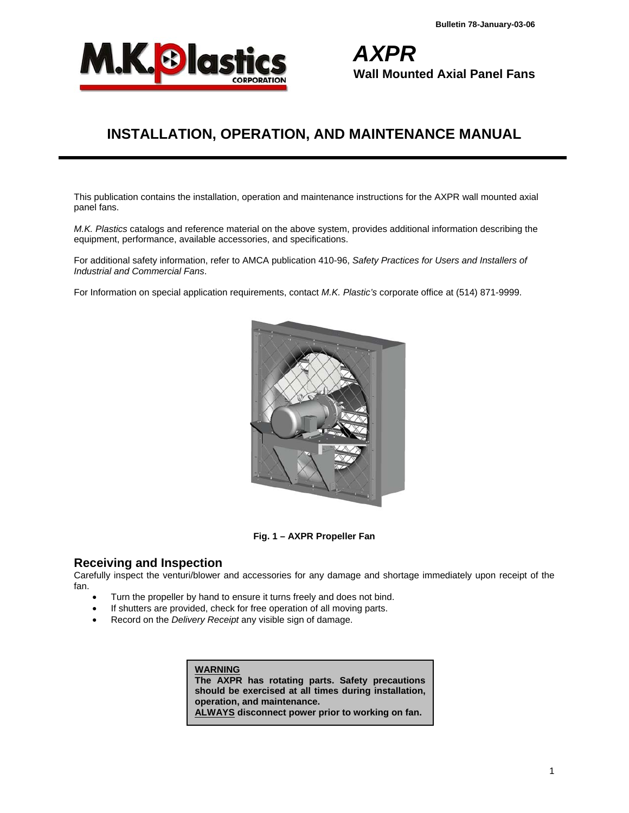

*AXPR* **Wall Mounted Axial Panel Fans** 

# **INSTALLATION, OPERATION, AND MAINTENANCE MANUAL**

This publication contains the installation, operation and maintenance instructions for the AXPR wall mounted axial panel fans.

*M.K. Plastics* catalogs and reference material on the above system, provides additional information describing the equipment, performance, available accessories, and specifications.

For additional safety information, refer to AMCA publication 410-96, *Safety Practices for Users and Installers of Industrial and Commercial Fans*.

For Information on special application requirements, contact *M.K. Plastic's* corporate office at (514) 871-9999.



**Fig. 1 – AXPR Propeller Fan** 

### **Receiving and Inspection**

Carefully inspect the venturi/blower and accessories for any damage and shortage immediately upon receipt of the fan.

- Turn the propeller by hand to ensure it turns freely and does not bind.
- If shutters are provided, check for free operation of all moving parts.
- Record on the *Delivery Receipt* any visible sign of damage.

**WARNING The AXPR has rotating parts. Safety precautions should be exercised at all times during installation, operation, and maintenance. ALWAYS disconnect power prior to working on fan.**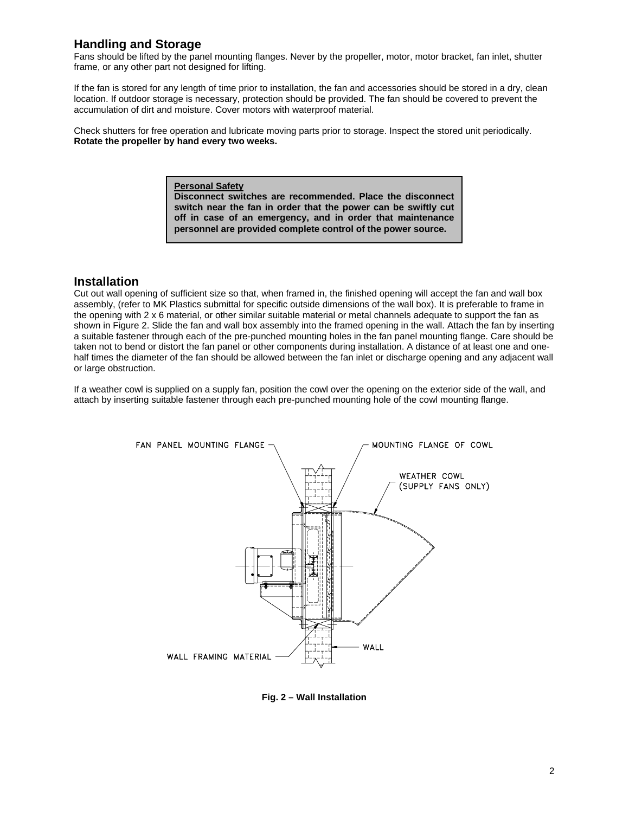# **Handling and Storage**

Fans should be lifted by the panel mounting flanges. Never by the propeller, motor, motor bracket, fan inlet, shutter frame, or any other part not designed for lifting.

If the fan is stored for any length of time prior to installation, the fan and accessories should be stored in a dry, clean location. If outdoor storage is necessary, protection should be provided. The fan should be covered to prevent the accumulation of dirt and moisture. Cover motors with waterproof material.

Check shutters for free operation and lubricate moving parts prior to storage. Inspect the stored unit periodically. **Rotate the propeller by hand every two weeks.**

> **Personal Safety Disconnect switches are recommended. Place the disconnect switch near the fan in order that the power can be swiftly cut off in case of an emergency, and in order that maintenance personnel are provided complete control of the power source.**

### **Installation**

Cut out wall opening of sufficient size so that, when framed in, the finished opening will accept the fan and wall box assembly, (refer to MK Plastics submittal for specific outside dimensions of the wall box). It is preferable to frame in the opening with 2 x 6 material, or other similar suitable material or metal channels adequate to support the fan as shown in Figure 2. Slide the fan and wall box assembly into the framed opening in the wall. Attach the fan by inserting a suitable fastener through each of the pre-punched mounting holes in the fan panel mounting flange. Care should be taken not to bend or distort the fan panel or other components during installation. A distance of at least one and onehalf times the diameter of the fan should be allowed between the fan inlet or discharge opening and any adjacent wall or large obstruction.

If a weather cowl is supplied on a supply fan, position the cowl over the opening on the exterior side of the wall, and attach by inserting suitable fastener through each pre-punched mounting hole of the cowl mounting flange.



**Fig. 2 – Wall Installation**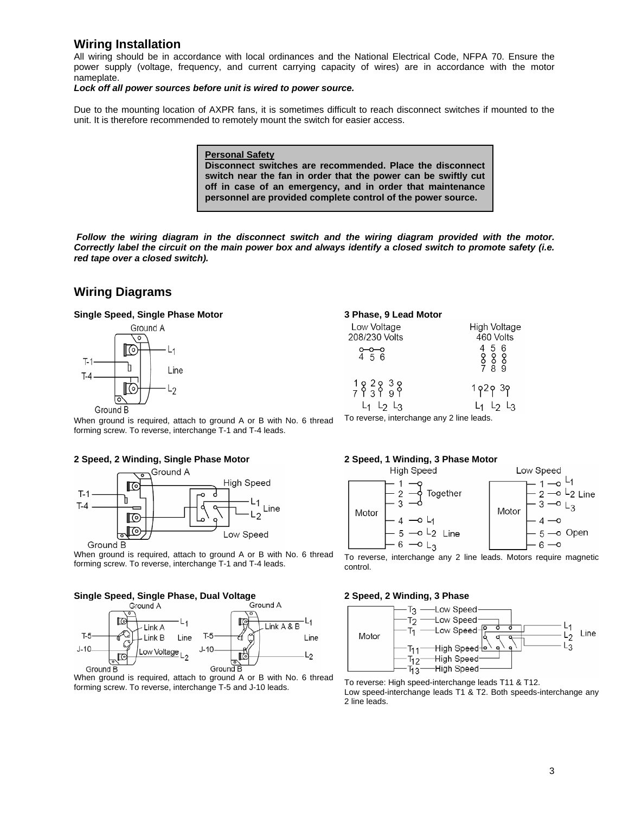### **Wiring Installation**

All wiring should be in accordance with local ordinances and the National Electrical Code, NFPA 70. Ensure the power supply (voltage, frequency, and current carrying capacity of wires) are in accordance with the motor nameplate.

*Lock off all power sources before unit is wired to power source.* 

Due to the mounting location of AXPR fans, it is sometimes difficult to reach disconnect switches if mounted to the unit. It is therefore recommended to remotely mount the switch for easier access.

> **Personal Safety Disconnect switches are recommended. Place the disconnect switch near the fan in order that the power can be swiftly cut off in case of an emergency, and in order that maintenance personnel are provided complete control of the power source.**

 *Follow the wiring diagram in the disconnect switch and the wiring diagram provided with the motor. Correctly label the circuit on the main power box and always identify a closed switch to promote safety (i.e. red tape over a closed switch).* 

# **Wiring Diagrams**

#### **Single Speed, Single Phase Motor**



| 3 Phase, 9 Lead Motor                     |                                                                                                                                                         |  |  |  |
|-------------------------------------------|---------------------------------------------------------------------------------------------------------------------------------------------------------|--|--|--|
| Low Voltage<br>208/230 Volts              | High Voltage<br>460 Volts                                                                                                                               |  |  |  |
| $0 - 0 - 0$<br>4 5 6                      | 456<br>$\begin{array}{@{}c@{\hspace{1em}}c@{\hspace{1em}}c@{\hspace{1em}}}\mathbf{8}\mathbf{8}\mathbf{8}\\ \mathbf{7}&\mathbf{8}&\mathbf{9}\end{array}$ |  |  |  |
| $L_1$ $L_2$ $L_3$                         | 1929 39<br>$L_1$ $L_2$ $L_3$                                                                                                                            |  |  |  |
| To reverse, interchange any 2 line leads. |                                                                                                                                                         |  |  |  |

When ground is required, attach to ground A or B with No. 6 thread forming screw. To reverse, interchange T-1 and T-4 leads.

#### **2 Speed, 2 Winding, Single Phase Motor**



When ground is required, attach to ground A or B with No. 6 thread forming screw. To reverse, interchange T-1 and T-4 leads.

# **Single Speed, Single Phase, Dual Voltage**<br>Ground A



When ground is required, attach to ground A or B with No. 6 thread forming screw. To reverse, interchange T-5 and J-10 leads.

#### **2 Speed, 1 Winding, 3 Phase Motor**



To reverse, interchange any 2 line leads. Motors require magnetic control.

#### **2 Speed, 2 Winding, 3 Phase**



To reverse: High speed-interchange leads T11 & T12. Low speed-interchange leads T1 & T2. Both speeds-interchange any 2 line leads.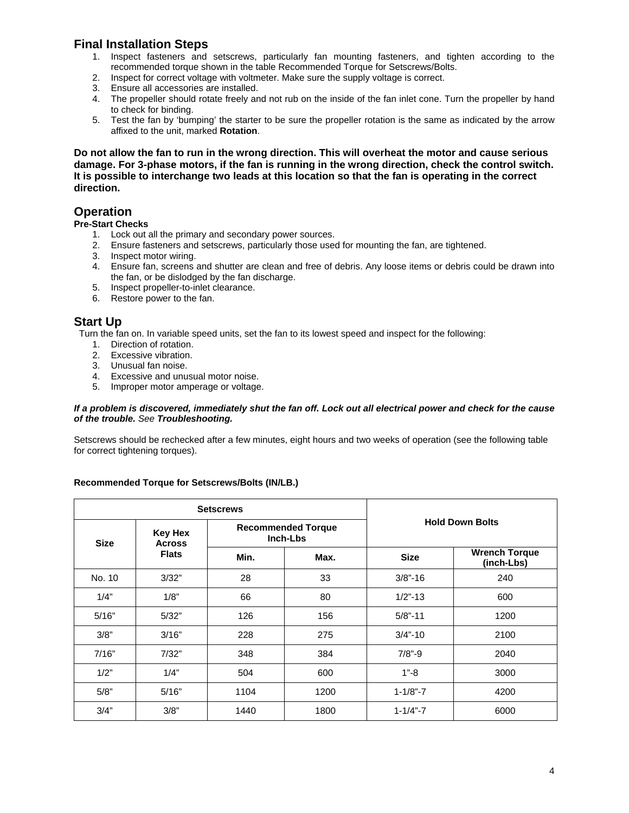# **Final Installation Steps**

- 1. Inspect fasteners and setscrews, particularly fan mounting fasteners, and tighten according to the recommended torque shown in the table Recommended Torque for Setscrews/Bolts.
- 2. Inspect for correct voltage with voltmeter. Make sure the supply voltage is correct.
- 3. Ensure all accessories are installed.
- 4. The propeller should rotate freely and not rub on the inside of the fan inlet cone. Turn the propeller by hand to check for binding.
- 5. Test the fan by 'bumping' the starter to be sure the propeller rotation is the same as indicated by the arrow affixed to the unit, marked **Rotation**.

**Do not allow the fan to run in the wrong direction. This will overheat the motor and cause serious damage. For 3-phase motors, if the fan is running in the wrong direction, check the control switch. It is possible to interchange two leads at this location so that the fan is operating in the correct direction.** 

# **Operation**

**Pre-Start Checks** 

- 1. Lock out all the primary and secondary power sources.
- 2. Ensure fasteners and setscrews, particularly those used for mounting the fan, are tightened.
- 3. Inspect motor wiring.
- 4. Ensure fan, screens and shutter are clean and free of debris. Any loose items or debris could be drawn into the fan, or be dislodged by the fan discharge.
- 5. Inspect propeller-to-inlet clearance.
- 6. Restore power to the fan.

### **Start Up**

Turn the fan on. In variable speed units, set the fan to its lowest speed and inspect for the following:

- 1. Direction of rotation.
- 2. Excessive vibration.
- 3. Unusual fan noise.
- 4. Excessive and unusual motor noise.
- 5. Improper motor amperage or voltage.

#### *If a problem is discovered, immediately shut the fan off. Lock out all electrical power and check for the cause of the trouble. See Troubleshooting.*

Setscrews should be rechecked after a few minutes, eight hours and two weeks of operation (see the following table for correct tightening torques).

#### **Recommended Torque for Setscrews/Bolts (IN/LB.)**

|             | <b>Setscrews</b>                |                                       |      |                        |                                    |
|-------------|---------------------------------|---------------------------------------|------|------------------------|------------------------------------|
| <b>Size</b> | <b>Key Hex</b><br><b>Across</b> | <b>Recommended Torque</b><br>Inch-Lbs |      | <b>Hold Down Bolts</b> |                                    |
|             | <b>Flats</b>                    | Min.                                  | Max. | <b>Size</b>            | <b>Wrench Torque</b><br>(inch-Lbs) |
| No. 10      | 3/32"                           | 28                                    | 33   | $3/8$ "-16             | 240                                |
| 1/4"        | 1/8"                            | 66                                    | 80   | $1/2$ "-13             | 600                                |
| 5/16"       | 5/32"                           | 126                                   | 156  | $5/8$ "-11             | 1200                               |
| 3/8"        | 3/16"                           | 228                                   | 275  | $3/4" - 10$            | 2100                               |
| 7/16"       | 7/32"                           | 348                                   | 384  | $7/8" - 9$             | 2040                               |
| 1/2"        | 1/4"                            | 504                                   | 600  | $1 - 8$                | 3000                               |
| 5/8"        | 5/16"                           | 1104                                  | 1200 | $1 - 1/8" - 7$         | 4200                               |
| 3/4"        | 3/8"                            | 1440                                  | 1800 | $1 - 1/4 - 7$          | 6000                               |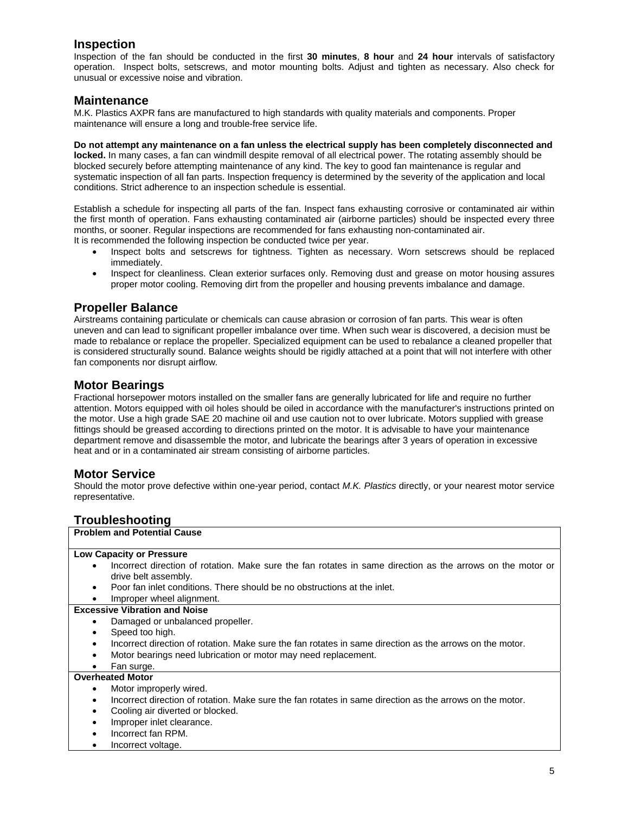## **Inspection**

Inspection of the fan should be conducted in the first **30 minutes**, **8 hour** and **24 hour** intervals of satisfactory operation. Inspect bolts, setscrews, and motor mounting bolts. Adjust and tighten as necessary. Also check for unusual or excessive noise and vibration.

#### **Maintenance**

M.K. Plastics AXPR fans are manufactured to high standards with quality materials and components. Proper maintenance will ensure a long and trouble-free service life.

**Do not attempt any maintenance on a fan unless the electrical supply has been completely disconnected and locked.** In many cases, a fan can windmill despite removal of all electrical power. The rotating assembly should be blocked securely before attempting maintenance of any kind. The key to good fan maintenance is regular and systematic inspection of all fan parts. Inspection frequency is determined by the severity of the application and local conditions. Strict adherence to an inspection schedule is essential.

Establish a schedule for inspecting all parts of the fan. Inspect fans exhausting corrosive or contaminated air within the first month of operation. Fans exhausting contaminated air (airborne particles) should be inspected every three months, or sooner. Regular inspections are recommended for fans exhausting non-contaminated air. It is recommended the following inspection be conducted twice per year.

- Inspect bolts and setscrews for tightness. Tighten as necessary. Worn setscrews should be replaced immediately.
- Inspect for cleanliness. Clean exterior surfaces only. Removing dust and grease on motor housing assures proper motor cooling. Removing dirt from the propeller and housing prevents imbalance and damage.

# **Propeller Balance**

Airstreams containing particulate or chemicals can cause abrasion or corrosion of fan parts. This wear is often uneven and can lead to significant propeller imbalance over time. When such wear is discovered, a decision must be made to rebalance or replace the propeller. Specialized equipment can be used to rebalance a cleaned propeller that is considered structurally sound. Balance weights should be rigidly attached at a point that will not interfere with other fan components nor disrupt airflow.

### **Motor Bearings**

Fractional horsepower motors installed on the smaller fans are generally lubricated for life and require no further attention. Motors equipped with oil holes should be oiled in accordance with the manufacturer's instructions printed on the motor. Use a high grade SAE 20 machine oil and use caution not to over lubricate. Motors supplied with grease fittings should be greased according to directions printed on the motor. It is advisable to have your maintenance department remove and disassemble the motor, and lubricate the bearings after 3 years of operation in excessive heat and or in a contaminated air stream consisting of airborne particles.

### **Motor Service**

Should the motor prove defective within one-year period, contact *M.K. Plastics* directly, or your nearest motor service representative.

# **Troubleshooting**

| <b>Problem and Potential Cause</b>                                                                                    |
|-----------------------------------------------------------------------------------------------------------------------|
| <b>Low Capacity or Pressure</b>                                                                                       |
| Incorrect direction of rotation. Make sure the fan rotates in same direction as the arrows on the motor or            |
| drive belt assembly.                                                                                                  |
| Poor fan inlet conditions. There should be no obstructions at the inlet.                                              |
| Improper wheel alignment.                                                                                             |
| <b>Excessive Vibration and Noise</b>                                                                                  |
| Damaged or unbalanced propeller.<br>٠                                                                                 |
| Speed too high.                                                                                                       |
| Incorrect direction of rotation. Make sure the fan rotates in same direction as the arrows on the motor.<br>$\bullet$ |
| Motor bearings need lubrication or motor may need replacement.                                                        |
| Fan surge.                                                                                                            |
| <b>Overheated Motor</b>                                                                                               |
| Motor improperly wired.<br>٠                                                                                          |
| Incorrect direction of rotation. Make sure the fan rotates in same direction as the arrows on the motor.<br>٠         |
| Cooling air diverted or blocked.                                                                                      |
| Improper inlet clearance.                                                                                             |
| Incorrect fan RPM.                                                                                                    |
| Incorrect voltage.                                                                                                    |
|                                                                                                                       |